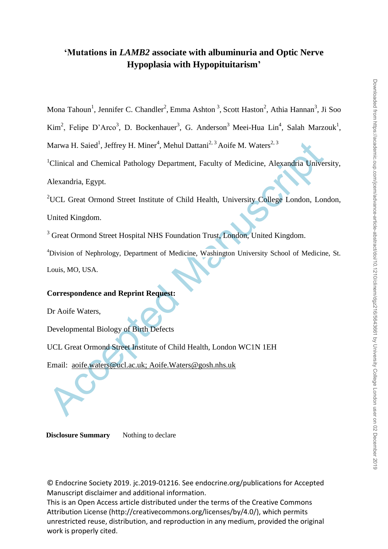# **'Mutations in** *LAMB2* **associate with albuminuria and Optic Nerve Hypoplasia with Hypopituitarism'**

Mona Tahoun<sup>1</sup>, Jennifer C. Chandler<sup>2</sup>, Emma Ashton<sup>3</sup>, Scott Haston<sup>2</sup>, Athia Hannan<sup>3</sup>, Ji Soo

Kim<sup>2</sup>, Felipe D'Arco<sup>3</sup>, D. Bockenhauer<sup>3</sup>, G. Anderson<sup>3</sup> Meei-Hua Lin<sup>4</sup>, Salah Marzouk<sup>1</sup>,

Marwa H. Saied<sup>1</sup>, Jeffrey H. Miner<sup>4</sup>, Mehul Dattani<sup>2, 3</sup> Aoife M. Waters<sup>2, 3</sup>

<sup>1</sup>Clinical and Chemical Pathology Department, Faculty of Medicine, Alexandria University, Alexandria, Egypt.

Marwa H. Saied<sup>1</sup>, Jeffrey H. Miner<sup>4</sup>, Mehul Dattani<sup>2, 3</sup> Aoife M. Waters<sup>2, 3</sup><br>
<sup>1</sup>Clinical and Chemical Pathology Department, Faculty of Medicine, Alexandria Univer<br>
Alexandria, Egypt.<br>
<sup>2</sup>UCL Great Ormond Street Insti <sup>2</sup>UCL Great Ormond Street Institute of Child Health, University College London, London, United Kingdom.

<sup>3</sup> Great Ormond Street Hospital NHS Foundation Trust, London, United Kingdom.

<sup>4</sup>Division of Nephrology, Department of Medicine, Washington University School of Medicine, St. Louis, MO, USA.

# **Correspondence and Reprint Request:**

Dr Aoife Waters,

Developmental Biology of Birth Defects

UCL Great Ormond Street Institute of Child Health, London WC1N 1EH

Email: aoife.waters@ucl.ac.uk; Aoife.Waters@gosh.nhs.uk

**Disclosure Summary** Nothing to declare

© Endocrine Society 2019. jc.2019-01216. See endocrine.org/publications for Accepted Manuscript disclaimer and additional information.

This is an Open Access article distributed under the terms of the Creative Commons Attribution License (http://creativecommons.org/licenses/by/4.0/), which permits unrestricted reuse, distribution, and reproduction in any medium, provided the original work is properly cited.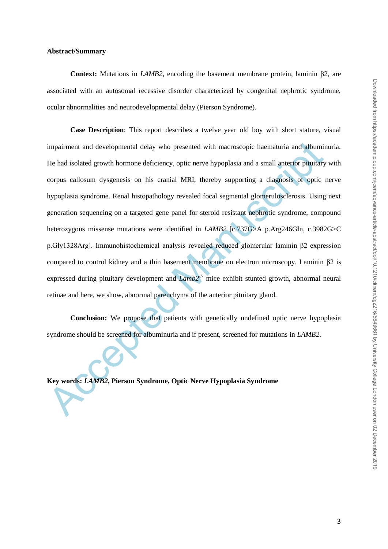#### **Abstract/Summary**

**Context:** Mutations in *LAMB2*, encoding the basement membrane protein, laminin β2, are associated with an autosomal recessive disorder characterized by congenital nephrotic syndrome, ocular abnormalities and neurodevelopmental delay (Pierson Syndrome).

impairment and developmental delay who presented with macroscopic haematuria and albumin<br>He had isolated growth hormone deficiency, optic nerve hypoplasia and a small anterior pitulitary<br>corpus callosum dysgenesis on his c **Case Description**: This report describes a twelve year old boy with short stature, visual impairment and developmental delay who presented with macroscopic haematuria and albuminuria. He had isolated growth hormone deficiency, optic nerve hypoplasia and a small anterior pituitary with corpus callosum dysgenesis on his cranial MRI, thereby supporting a diagnosis of optic nerve hypoplasia syndrome. Renal histopathology revealed focal segmental glomerulosclerosis. Using next generation sequencing on a targeted gene panel for steroid resistant nephrotic syndrome, compound heterozygous missense mutations were identified in *LAMB2* [c.737G>A p.Arg246Gln, c.3982G>C p.Gly1328Arg]. Immunohistochemical analysis revealed reduced glomerular laminin β2 expression compared to control kidney and a thin basement membrane on electron microscopy. Laminin β2 is expressed during pituitary development and *Lamb2<sup>-/-</sup>* mice exhibit stunted growth, abnormal neural retinae and here, we show, abnormal parenchyma of the anterior pituitary gland.

**Conclusion:** We propose that patients with genetically undefined optic nerve hypoplasia syndrome should be screened for albuminuria and if present, screened for mutations in *LAMB2*.

**Key words:** *LAMB2***, Pierson Syndrome, Optic Nerve Hypoplasia Syndrome**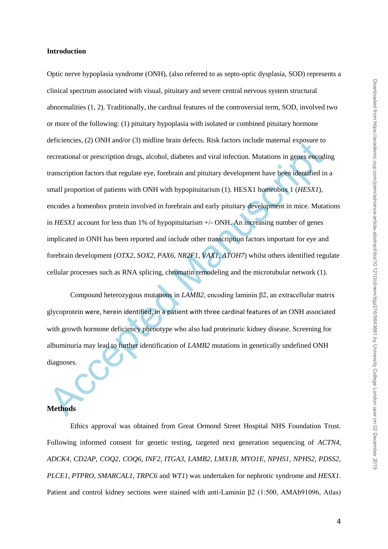detectricies, (2) ONT amoor (5) minime bram detects. RNK ractors mendie internaties prosess to<br>recreational or prescription drugs, alcohol, diabetes and viral infection. Mutations in genes encodi<br>transcription factors that Optic nerve hypoplasia syndrome (ONH), (also referred to as septo-optic dysplasia, SOD) represents a clinical spectrum associated with visual, pituitary and severe central nervous system structural abnormalities (1, 2). Traditionally, the cardinal features of the controversial term, SOD, involved two or more of the following: (1) pituitary hypoplasia with isolated or combined pituitary hormone deficiencies, (2) ONH and/or (3) midline brain defects. Risk factors include maternal exposure to recreational or prescription drugs, alcohol, diabetes and viral infection. Mutations in genes encoding transcription factors that regulate eye, forebrain and pituitary development have been identified in a small proportion of patients with ONH with hypopituitarism (1). HESX1 homeobox 1 (*HESX1*), encodes a homeobox protein involved in forebrain and early pituitary development in mice. Mutations in *HESX1* account for less than 1% of hypopituitarism +/- ONH. An increasing number of genes implicated in ONH has been reported and include other transcription factors important for eye and forebrain development (*OTX2*, *SOX2*, *PAX6*, *NR2F1*, *VAX1*, *ATOH7*) whilst others identified regulate cellular processes such as RNA splicing, chromatin remodeling and the microtubular network (1).

Compound heterozygous mutations in *LAMB2*, encoding laminin β2, an extracellular matrix glycoprotein were, herein identified, in a patient with three cardinal features of an ONH associated with growth hormone deficiency phenotype who also had proteinuric kidney disease. Screening for albuminuria may lead to further identification of *LAMB2* mutations in genetically undefined ONH diagnoses.

#### **Methods**

Ethics approval was obtained from Great Ormond Street Hospital NHS Foundation Trust. Following informed consent for genetic testing, targeted next generation sequencing of *ACTN4, ADCK4, CD2AP, COQ2, COQ6, INF2, ITGA3, LAMB2, LMX1B, MYO1E, NPHS1, NPHS2, PDSS2, PLCE1, PTPRO, SMARCAL1, TRPC6* and *WT1*) was undertaken for nephrotic syndrome and *HESX1*. Patient and control kidney sections were stained with anti-Laminin β2 (1:500, AMAb91096, Atlas)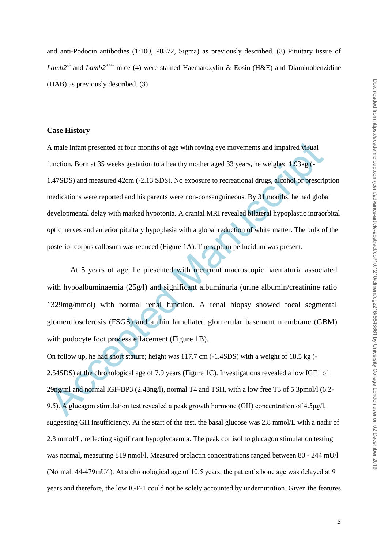and anti-Podocin antibodies (1:100, P0372, Sigma) as previously described. (3) Pituitary tissue of *Lamb2-/-* and *Lamb2+/+-* mice (4) were stained Haematoxylin & Eosin (H&E) and Diaminobenzidine (DAB) as previously described. (3)

## **Case History**

A male infant presented at four months of age with roving eye movements and impaired visual<br>function. Born at 35 weeks gestation to a healthy mother aged 33 years, he weighed 1.93kg (-<br>1.47SDS) and measured 42cm (-2.13 SD A male infant presented at four months of age with roving eye movements and impaired visual function. Born at 35 weeks gestation to a healthy mother aged 33 years, he weighed 1.93kg (- 1.47SDS) and measured 42cm (-2.13 SDS). No exposure to recreational drugs, alcohol or prescription medications were reported and his parents were non-consanguineous. By 31 months, he had global developmental delay with marked hypotonia. A cranial MRI revealed bilateral hypoplastic intraorbital optic nerves and anterior pituitary hypoplasia with a global reduction of white matter. The bulk of the posterior corpus callosum was reduced (Figure 1A). The septum pellucidum was present.

At 5 years of age, he presented with recurrent macroscopic haematuria associated with hypoalbuminaemia (25g/l) and significant albuminuria (urine albumin/creatinine ratio 1329mg/mmol) with normal renal function. A renal biopsy showed focal segmental glomerulosclerosis (FSGS) and a thin lamellated glomerular basement membrane (GBM) with podocyte foot process effacement (Figure 1B).

On follow up, he had short stature; height was 117.7 cm (-1.4SDS) with a weight of 18.5 kg (- 2.54SDS) at the chronological age of 7.9 years (Figure 1C). Investigations revealed a low IGF1 of 29ng/ml and normal IGF-BP3 (2.48ng/l), normal T4 and TSH, with a low free T3 of 5.3pmol/l (6.2- 9.5). A glucagon stimulation test revealed a peak growth hormone (GH) concentration of 4.5μg/l, suggesting GH insufficiency. At the start of the test, the basal glucose was 2.8 mmol/L with a nadir of 2.3 mmol/L, reflecting significant hypoglycaemia. The peak cortisol to glucagon stimulation testing was normal, measuring 819 nmol/l. Measured prolactin concentrations ranged between 80 - 244 mU/l (Normal: 44-479mU/l). At a chronological age of 10.5 years, the patient's bone age was delayed at 9 years and therefore, the low IGF-1 could not be solely accounted by undernutrition. Given the features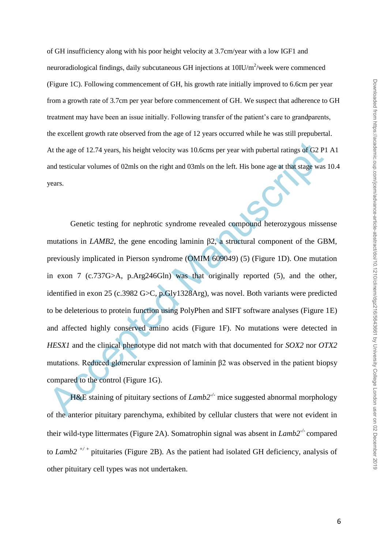of GH insufficiency along with his poor height velocity at 3.7cm/year with a low IGF1 and neuroradiological findings, daily subcutaneous GH injections at  $10$ IU/m<sup>2</sup>/week were commenced (Figure 1C). Following commencement of GH, his growth rate initially improved to 6.6cm per year from a growth rate of 3.7cm per year before commencement of GH. We suspect that adherence to GH treatment may have been an issue initially. Following transfer of the patient's care to grandparents, the excellent growth rate observed from the age of 12 years occurred while he was still prepubertal. At the age of 12.74 years, his height velocity was 10.6cms per year with pubertal ratings of G2 P1 A1 and testicular volumes of 02mls on the right and 03mls on the left. His bone age at that stage was 10.4 years.

At the age of 12.74 years, his height velocity was 10.6cms per year with pubertal ratings of G2 P1<br>and testicular volumes of 02mls on the right and 03mls on the left. His bone age at that stage was<br>years.<br>Cenetic testing Genetic testing for nephrotic syndrome revealed compound heterozygous missense mutations in *LAMB2*, the gene encoding laminin  $β2$ , a structural component of the GBM, previously implicated in Pierson syndrome (OMIM 609049) (5) (Figure 1D). One mutation in exon 7 (c.737G>A, p.Arg246Gln) was that originally reported (5), and the other, identified in exon 25 (c.3982 G>C, p.Gly1328Arg), was novel. Both variants were predicted to be deleterious to protein function using PolyPhen and SIFT software analyses (Figure 1E) and affected highly conserved amino acids (Figure 1F). No mutations were detected in *HESX1* and the clinical phenotype did not match with that documented for *SOX2* nor *OTX2*  mutations. Reduced glomerular expression of laminin β2 was observed in the patient biopsy compared to the control (Figure 1G).

H&E staining of pituitary sections of *Lamb2<sup>-/-</sup>* mice suggested abnormal morphology of the anterior pituitary parenchyma, exhibited by cellular clusters that were not evident in their wild-type littermates (Figure 2A). Somatrophin signal was absent in *Lamb2-/*- compared to *Lamb2 +/ <sup>+</sup>* pituitaries (Figure 2B). As the patient had isolated GH deficiency, analysis of other pituitary cell types was not undertaken.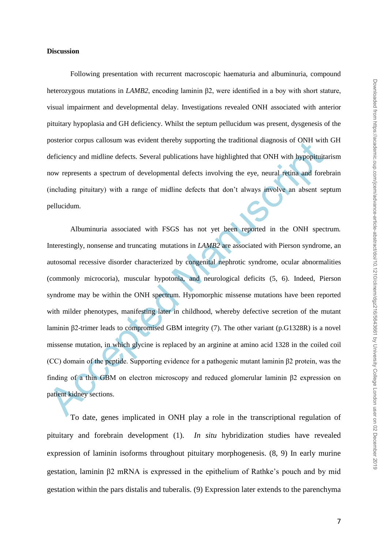#### **Discussion**

Following presentation with recurrent macroscopic haematuria and albuminuria, compound heterozygous mutations in *LAMB2*, encoding laminin β2, were identified in a boy with short stature, visual impairment and developmental delay. Investigations revealed ONH associated with anterior pituitary hypoplasia and GH deficiency. Whilst the septum pellucidum was present, dysgenesis of the posterior corpus callosum was evident thereby supporting the traditional diagnosis of ONH with GH deficiency and midline defects. Several publications have highlighted that ONH with hypopituitarism now represents a spectrum of developmental defects involving the eye, neural retina and forebrain (including pituitary) with a range of midline defects that don't always involve an absent septum pellucidum.

posierior corpus canosum was evident thereby supporting the transitional ranginoss of ONFI with<br>deficiency and midline defects. Several publications have highlighted that ONFI with Myopituitz<br>now represents a spectrum of d Albuminuria associated with FSGS has not yet been reported in the ONH spectrum. Interestingly, nonsense and truncating mutations in *LAMB2* are associated with Pierson syndrome, an autosomal recessive disorder characterized by congenital nephrotic syndrome, ocular abnormalities (commonly microcoria), muscular hypotonia, and neurological deficits (5, 6). Indeed, Pierson syndrome may be within the ONH spectrum. Hypomorphic missense mutations have been reported with milder phenotypes, manifesting later in childhood, whereby defective secretion of the mutant laminin β2-trimer leads to compromised GBM integrity (7). The other variant (p.G1328R) is a novel missense mutation, in which glycine is replaced by an arginine at amino acid 1328 in the coiled coil (CC) domain of the peptide. Supporting evidence for a pathogenic mutant laminin β2 protein, was the finding of a thin GBM on electron microscopy and reduced glomerular laminin β2 expression on patient kidney sections.

To date, genes implicated in ONH play a role in the transcriptional regulation of pituitary and forebrain development (1). *In situ* hybridization studies have revealed expression of laminin isoforms throughout pituitary morphogenesis. (8, 9) In early murine gestation, laminin β2 mRNA is expressed in the epithelium of Rathke's pouch and by mid gestation within the pars distalis and tuberalis. (9) Expression later extends to the parenchyma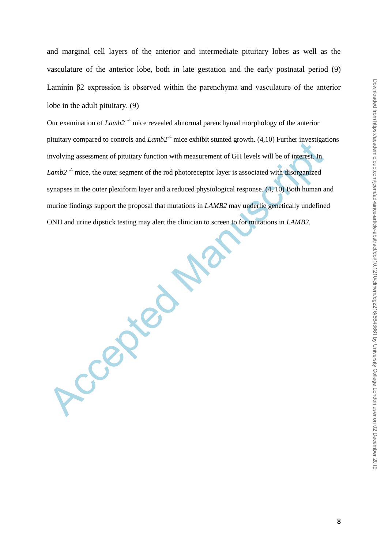and marginal cell layers of the anterior and intermediate pituitary lobes as well as the vasculature of the anterior lobe, both in late gestation and the early postnatal period (9) Laminin β2 expression is observed within the parenchyma and vasculature of the anterior lobe in the adult pituitary. (9)

Our examination of *Lamb*2<sup>-/-</sup> mice revealed abnormal parenchymal morphology of the anterior pituitary compared to controls and *Lamb2-/-* mice exhibit stunted growth. (4,10) Further investigations involving assessment of pituitary function with measurement of GH levels will be of interest. In *Lamb2*<sup>-/-</sup> mice, the outer segment of the rod photoreceptor layer is associated with disorganized synapses in the outer plexiform layer and a reduced physiological response. (4, 10) Both human and murine findings support the proposal that mutations in *LAMB2* may underlie genetically undefined ONH and urine dipstick testing may alert the clinician to screen to for mutations in *LAMB2*.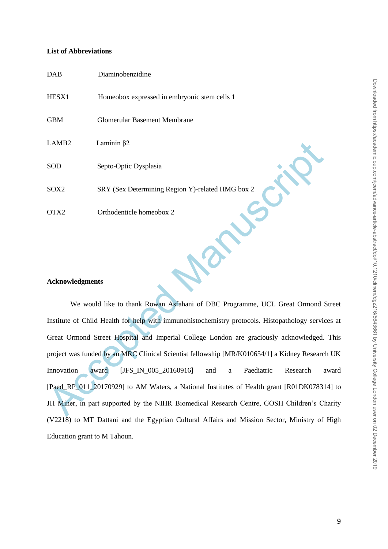## **List of Abbreviations**

| <b>DAB</b>        | Diaminobenzidine                                 |
|-------------------|--------------------------------------------------|
| HESX1             | Homeobox expressed in embryonic stem cells 1     |
| <b>GBM</b>        | Glomerular Basement Membrane                     |
| LAMB <sub>2</sub> | Laminin $\beta$ 2                                |
| SOD               | Septo-Optic Dysplasia                            |
| SOX2              | SRY (Sex Determining Region Y)-related HMG box 2 |
| OTX2              | Orthodenticle homeobox 2                         |
|                   |                                                  |

# **Acknowledgments**

T.AMB2<br>
SOD Septo-Optic Dysplasia<br>
SOX2 SRY (Sex Determining Region Y)-related HMG box 2<br>
OTX2 Orthodenticle homeobox 2<br>
Orthodenticle homeobox 2<br>
Acknowledgments<br>
We would like to thank Rowan Astahani of DBC Programme, UC We would like to thank Rowan Asfahani of DBC Programme, UCL Great Ormond Street Institute of Child Health for help with immunohistochemistry protocols. Histopathology services at Great Ormond Street Hospital and Imperial College London are graciously acknowledged. This project was funded by an MRC Clinical Scientist fellowship [MR/K010654/1] a Kidney Research UK Innovation award [JFS\_IN\_005\_20160916] and a Paediatric Research award [Paed\_RP\_011\_20170929] to AM Waters, a National Institutes of Health grant [R01DK078314] to JH Miner, in part supported by the NIHR Biomedical Research Centre, GOSH Children's Charity (V2218) to MT Dattani and the Egyptian Cultural Affairs and Mission Sector, Ministry of High Education grant to M Tahoun.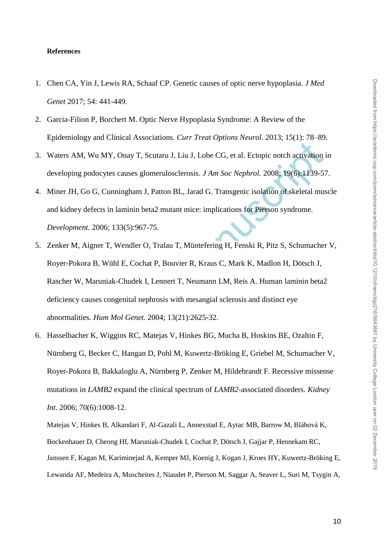#### **References**

- 1. Chen CA, Yin J, Lewis RA, Schaaf CP. Genetic causes of optic nerve hypoplasia. *J Med Genet* 2017; 54: 441-449.
- 2. Garcia-Filion P, Borchert M. Optic Nerve Hypoplasia Syndrome: A Review of the Epidemiology and Clinical Associations. *Curr Treat Options Neurol.* 2013; 15(1): 78–89.
- 3. Waters AM, Wu MY, Onay T, Scutaru J, Liu J, Lobe CG, et al. Ectopic notch activation in developing podocytes causes glomerulosclerosis. *J Am Soc Nephrol.* 2008; 19(6):1139-57.
- 4. Miner JH, Go G, Cunningham J, Patton BL, Jarad G. Transgenic isolation of skeletal muscle and kidney defects in laminin beta2 mutant mice: implications for Pierson syndrome. *Development.* 2006; 133(5):967-75.
- The Waters AM, Wu MY, Onay T, Scutaru J, Liu J, Lobe CG, et al. Ecto[p](https://www.ncbi.nlm.nih.gov/pubmed/?term=Hangan%20D%5BAuthor%5D&cauthor=true&cauthor_uid=16912710)ic notch activation is<br>
waters AM, Wu MY, Onay T, Scutaru J, Liu J, Lobe CG, et al. Ectopic notch activation is<br>
developing podocytes causes glomerulosc 5. Zenker M, Aigner T, Wendler O, Tralau T, Müntefering H, Fenski R, Pitz S, Schumacher V, Royer-Pokora B, Wühl E, Cochat P, Bouvier R, Kraus C, Mark K, Madlon H, Dötsch J, Rascher W, Maruniak-Chudek I, Lennert T, Neumann LM, Reis A. Human laminin beta2 deficiency causes congenital nephrosis with mesangial sclerosis and distinct eye abnormalities. *Hum Mol Genet.* 2004; 13(21):2625-32.
- 6. Hasselbacher K, Wiggins RC, Matejas V, Hinkes BG, Mucha B, Hoskins BE, Ozaltin F, Nürnberg G, Becker C, Hangan D, Pohl M, Kuwertz-Bröking E, Griebel M, Schumacher V, Royer-Pokora B, Bakkaloglu A, Nürnberg P, Zenker M, Hildebrandt F. Recessive missense mutations in *LAMB2* expand the clinical spectrum of *LAMB2-*associated disorders. *Kidney Int*. 2006; 70(6):1008-12.

Matejas V, Hinkes B, Alkandari F, Al-Gazali L, Annexstad E, Aytac MB, Barrow M, Bláhová K, Bockenhauer D, Cheong HI, Maruniak-Chudek I, Cochat P, Dötsch J, Gajjar P, Hennekam RC, Janssen F, Kagan M, Kariminejad A, Kemper MJ, Koenig J, Kogan J, Kroes HY, Kuwertz-Bröking E, Lewanda AF, Medeira A, Muscheites J, Niaudet P, Pierson M, Saggar A, Seaver L, Suri M, Tsygin A,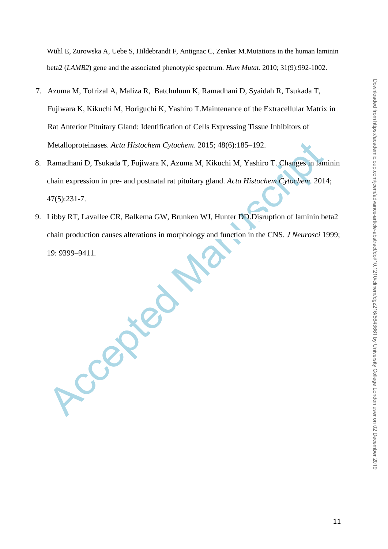Wühl E, Zurowska A, Uebe S, Hildebrandt F, Antignac C, Zenker M.Mutations in the human laminin beta2 (*LAMB2*) gene and the associated phenotypic spectrum. *Hum Mutat*. 2010; 31(9):992-1002.

- 7. Azuma M, Tofrizal A, Maliza R, Batchuluun K, Ramadhani D, Syaidah R, [Tsukada T,](https://www.ncbi.nlm.nih.gov/pubmed/?term=Tsukada%20T%5BAuthor%5D&cauthor=true&cauthor_uid=26855451) [Fujiwara](https://www.ncbi.nlm.nih.gov/pubmed/?term=Fujiwara%20K%5BAuthor%5D&cauthor=true&cauthor_uid=26855451) K, [Kikuchi M,](https://www.ncbi.nlm.nih.gov/pubmed/?term=Kikuchi%20M%5BAuthor%5D&cauthor=true&cauthor_uid=26855451) [Horiguchi K,](https://www.ncbi.nlm.nih.gov/pubmed/?term=Horiguchi%20K%5BAuthor%5D&cauthor=true&cauthor_uid=26855451) [Yashiro T.](https://www.ncbi.nlm.nih.gov/pubmed/?term=Yashiro%20T%5BAuthor%5D&cauthor=true&cauthor_uid=26855451)Maintenance of the Extracellular Matrix in Rat Anterior Pituitary Gland: Identification of Cells Expressing Tissue Inhibitors of Metalloproteinases. *Acta Histochem Cytochem*. 2015; 48(6):185–192.
- 8. Ramadhani D, Tsukada T, Fujiwara K, Azuma M, Kikuchi M, Yashiro T. Changes in laminin chain expression in pre- and postnatal rat pituitary gland. *Acta Histochem Cytochem*. 2014; 47(5):231-7.
- 9. Libby RT, Lavallee CR, Balkema GW, Brunken WJ, Hunter DD.Disruption of laminin beta2 chain production causes alterations in morphology and function in the CNS. *J Neurosci* 1999; 19: 9399–9411.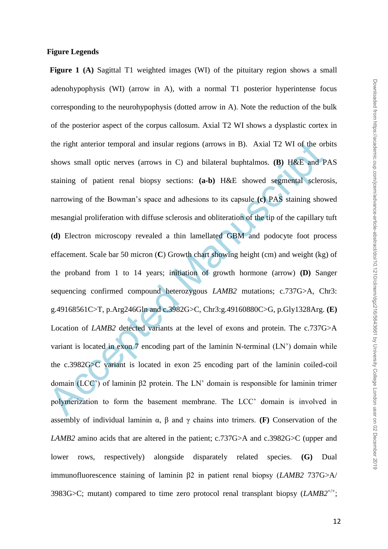# **Figure Legends**

the right anterior temporal and insular regions (arrows in B). Axial T2 WI of the ort<br>shows small optic nerves (arrows in C) and bilateral buphtalmos. (B) H&E and P<br>staining of patient renal biopsy sections: (a-b) H&E sho **Figure** 1 (A) Sagittal T1 weighted images (WI) of the pituitary region shows a small adenohypophysis (WI) (arrow in A), with a normal T1 posterior hyperintense focus corresponding to the neurohypophysis (dotted arrow in A). Note the reduction of the bulk of the posterior aspect of the corpus callosum. Axial T2 WI shows a dysplastic cortex in the right anterior temporal and insular regions (arrows in B). Axial T2 WI of the orbits shows small optic nerves (arrows in C) and bilateral buphtalmos. **(B)** H&E and PAS staining of patient renal biopsy sections: **(a-b)** H&E showed segmental sclerosis, narrowing of the Bowman's space and adhesions to its capsule **(c)** PAS staining showed mesangial proliferation with diffuse sclerosis and obliteration of the tip of the capillary tuft **(d)** Electron microscopy revealed a thin lamellated GBM and podocyte foot process effacement. Scale bar 50 micron (**C**) Growth chart showing height (cm) and weight (kg) of the proband from 1 to 14 years; initiation of growth hormone (arrow) **(D)** Sanger sequencing confirmed compound heterozygous *LAMB2* mutations; c.737G>A, Chr3: g.49168561C>T, p.Arg246Gln and c.3982G>C, Chr3:g.49160880C>G, p.Gly1328Arg. **(E)** Location of *LAMB2* detected variants at the level of exons and protein. The c.737G>A variant is located in exon 7 encoding part of the laminin N-terminal (LN') domain while the c.3982G>C variant is located in exon 25 encoding part of the laminin coiled-coil domain (LCC') of laminin β2 protein. The LN' domain is responsible for laminin trimer polymerization to form the basement membrane. The LCC' domain is involved in assembly of individual laminin  $\alpha$ ,  $\beta$  and  $\gamma$  chains into trimers. **(F)** Conservation of the *LAMB2* amino acids that are altered in the patient; c.737G>A and c.3982G>C (upper and lower rows, respectively) alongside disparately related species. **(G)** Dual immunofluorescence staining of laminin β2 in patient renal biopsy (*LAMB2* 737G>A/ 3983G $>$ C; mutant) compared to time zero protocol renal transplant biopsy ( $LAMB2^{+/+}$ ;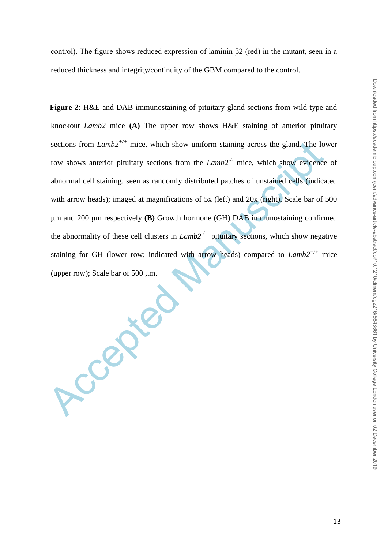control). The figure shows reduced expression of laminin  $\beta$ 2 (red) in the mutant, seen in a reduced thickness and integrity/continuity of the GBM compared to the control.

**Figure 2**: H&E and DAB immunostaining of pituitary gland sections from wild type and knockout *Lamb2* mice **(A)** The upper row shows H&E staining of anterior pituitary sections from *Lamb* $2^{+/+}$  mice, which show uniform staining across the gland. The lower row shows anterior pituitary sections from the *Lamb2-/-* mice, which show evidence of abnormal cell staining, seen as randomly distributed patches of unstained cells (indicated with arrow heads); imaged at magnifications of 5x (left) and 20x (right). Scale bar of 500 μm and 200 μm respectively **(B)** Growth hormone (GH) DAB immunostaining confirmed the abnormality of these cell clusters in *Lamb2-/-* pituitary sections, which show negative staining for GH (lower row; indicated with arrow heads) compared to *Lamb2+/+* mice (upper row); Scale bar of 500 μm.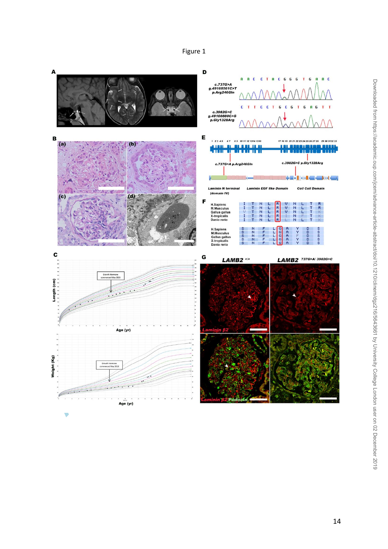